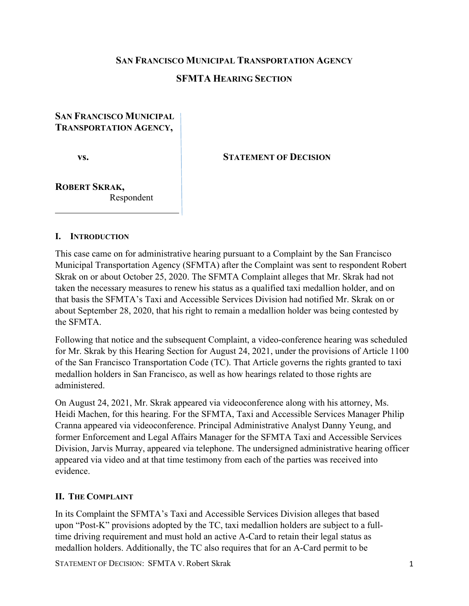#### **SAN FRANCISCO MUNICIPAL TRANSPORTATION AGENCY**

# **SFMTA HEARING SECTION**

# **SAN FRANCISCO MUNICIPAL TRANSPORTATION AGENCY,**

**vs.**

**STATEMENT OF DECISION**

**ROBERT SKRAK,** Respondent

#### **I. INTRODUCTION**

This case came on for administrative hearing pursuant to a Complaint by the San Francisco Municipal Transportation Agency (SFMTA) after the Complaint was sent to respondent Robert Skrak on or about October 25, 2020. The SFMTA Complaint alleges that Mr. Skrak had not taken the necessary measures to renew his status as a qualified taxi medallion holder, and on that basis the SFMTA's Taxi and Accessible Services Division had notified Mr. Skrak on or about September 28, 2020, that his right to remain a medallion holder was being contested by the SFMTA.

Following that notice and the subsequent Complaint, a video-conference hearing was scheduled for Mr. Skrak by this Hearing Section for August 24, 2021, under the provisions of Article 1100 of the San Francisco Transportation Code (TC). That Article governs the rights granted to taxi medallion holders in San Francisco, as well as how hearings related to those rights are administered.

On August 24, 2021, Mr. Skrak appeared via videoconference along with his attorney, Ms. Heidi Machen, for this hearing. For the SFMTA, Taxi and Accessible Services Manager Philip Cranna appeared via videoconference. Principal Administrative Analyst Danny Yeung, and former Enforcement and Legal Affairs Manager for the SFMTA Taxi and Accessible Services Division, Jarvis Murray, appeared via telephone. The undersigned administrative hearing officer appeared via video and at that time testimony from each of the parties was received into evidence.

#### **II. THE COMPLAINT**

In its Complaint the SFMTA's Taxi and Accessible Services Division alleges that based upon "Post-K" provisions adopted by the TC, taxi medallion holders are subject to a fulltime driving requirement and must hold an active A-Card to retain their legal status as medallion holders. Additionally, the TC also requires that for an A-Card permit to be

STATEMENT OF DECISION: SFMTA V. Robert Skrak 1 1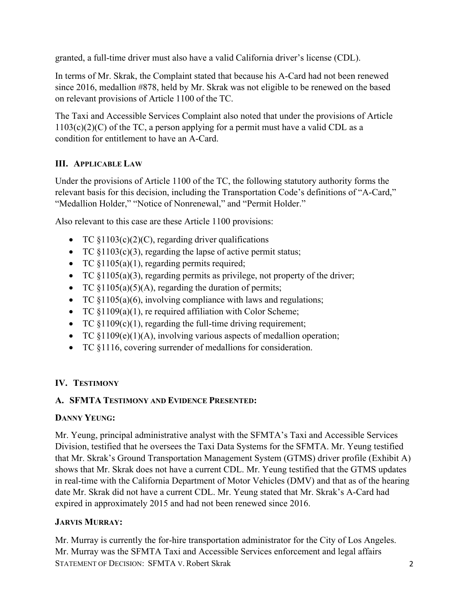granted, a full-time driver must also have a valid California driver's license (CDL).

In terms of Mr. Skrak, the Complaint stated that because his A-Card had not been renewed since 2016, medallion #878, held by Mr. Skrak was not eligible to be renewed on the based on relevant provisions of Article 1100 of the TC.

The Taxi and Accessible Services Complaint also noted that under the provisions of Article  $1103(c)(2)(C)$  of the TC, a person applying for a permit must have a valid CDL as a condition for entitlement to have an A-Card.

# **III. APPLICABLE LAW**

Under the provisions of Article 1100 of the TC, the following statutory authority forms the relevant basis for this decision, including the Transportation Code's definitions of "A-Card," "Medallion Holder," "Notice of Nonrenewal," and "Permit Holder."

Also relevant to this case are these Article 1100 provisions:

- TC  $$1103(c)(2)(C)$ , regarding driver qualifications
- TC  $\S1103(c)(3)$ , regarding the lapse of active permit status;
- TC §1105(a)(1), regarding permits required;
- TC  $$1105(a)(3)$ , regarding permits as privilege, not property of the driver;
- TC  $\S1105(a)(5)(A)$ , regarding the duration of permits;
- TC  $\{1105(a)(6)$ , involving compliance with laws and regulations;
- TC  $$1109(a)(1)$ , re required affiliation with Color Scheme;
- TC  $$1109(c)(1)$ , regarding the full-time driving requirement;
- TC §1109(e)(1)(A), involving various aspects of medallion operation;
- TC §1116, covering surrender of medallions for consideration.

# **IV. TESTIMONY**

# **A. SFMTA TESTIMONY AND EVIDENCE PRESENTED:**

# **DANNY YEUNG:**

Mr. Yeung, principal administrative analyst with the SFMTA's Taxi and Accessible Services Division, testified that he oversees the Taxi Data Systems for the SFMTA. Mr. Yeung testified that Mr. Skrak's Ground Transportation Management System (GTMS) driver profile (Exhibit A) shows that Mr. Skrak does not have a current CDL. Mr. Yeung testified that the GTMS updates in real-time with the California Department of Motor Vehicles (DMV) and that as of the hearing date Mr. Skrak did not have a current CDL. Mr. Yeung stated that Mr. Skrak's A-Card had expired in approximately 2015 and had not been renewed since 2016.

# **JARVIS MURRAY:**

STATEMENT OF DECISION: SFMTA V. Robert Skrak 2 Mr. Murray is currently the for-hire transportation administrator for the City of Los Angeles. Mr. Murray was the SFMTA Taxi and Accessible Services enforcement and legal affairs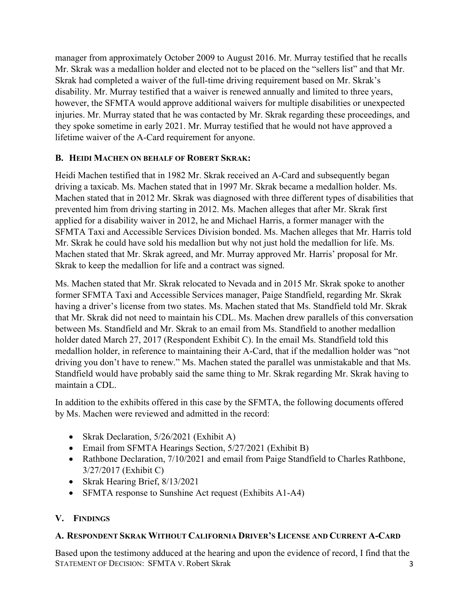manager from approximately October 2009 to August 2016. Mr. Murray testified that he recalls Mr. Skrak was a medallion holder and elected not to be placed on the "sellers list" and that Mr. Skrak had completed a waiver of the full-time driving requirement based on Mr. Skrak's disability. Mr. Murray testified that a waiver is renewed annually and limited to three years, however, the SFMTA would approve additional waivers for multiple disabilities or unexpected injuries. Mr. Murray stated that he was contacted by Mr. Skrak regarding these proceedings, and they spoke sometime in early 2021. Mr. Murray testified that he would not have approved a lifetime waiver of the A-Card requirement for anyone.

# **B. HEIDI MACHEN ON BEHALF OF ROBERT SKRAK:**

Heidi Machen testified that in 1982 Mr. Skrak received an A-Card and subsequently began driving a taxicab. Ms. Machen stated that in 1997 Mr. Skrak became a medallion holder. Ms. Machen stated that in 2012 Mr. Skrak was diagnosed with three different types of disabilities that prevented him from driving starting in 2012. Ms. Machen alleges that after Mr. Skrak first applied for a disability waiver in 2012, he and Michael Harris, a former manager with the SFMTA Taxi and Accessible Services Division bonded. Ms. Machen alleges that Mr. Harris told Mr. Skrak he could have sold his medallion but why not just hold the medallion for life. Ms. Machen stated that Mr. Skrak agreed, and Mr. Murray approved Mr. Harris' proposal for Mr. Skrak to keep the medallion for life and a contract was signed.

Ms. Machen stated that Mr. Skrak relocated to Nevada and in 2015 Mr. Skrak spoke to another former SFMTA Taxi and Accessible Services manager, Paige Standfield, regarding Mr. Skrak having a driver's license from two states. Ms. Machen stated that Ms. Standfield told Mr. Skrak that Mr. Skrak did not need to maintain his CDL. Ms. Machen drew parallels of this conversation between Ms. Standfield and Mr. Skrak to an email from Ms. Standfield to another medallion holder dated March 27, 2017 (Respondent Exhibit C). In the email Ms. Standfield told this medallion holder, in reference to maintaining their A-Card, that if the medallion holder was "not driving you don't have to renew." Ms. Machen stated the parallel was unmistakable and that Ms. Standfield would have probably said the same thing to Mr. Skrak regarding Mr. Skrak having to maintain a CDL.

In addition to the exhibits offered in this case by the SFMTA, the following documents offered by Ms. Machen were reviewed and admitted in the record:

- Skrak Declaration, 5/26/2021 (Exhibit A)
- Email from SFMTA Hearings Section, 5/27/2021 (Exhibit B)
- Rathbone Declaration, 7/10/2021 and email from Paige Standfield to Charles Rathbone, 3/27/2017 (Exhibit C)
- Skrak Hearing Brief, 8/13/2021
- SFMTA response to Sunshine Act request (Exhibits A1-A4)

# **V. FINDINGS**

#### **A. RESPONDENT SKRAK WITHOUT CALIFORNIA DRIVER'S LICENSE AND CURRENT A-CARD**

STATEMENT OF DECISION: SFMTA V. Robert Skrak 3 Based upon the testimony adduced at the hearing and upon the evidence of record, I find that the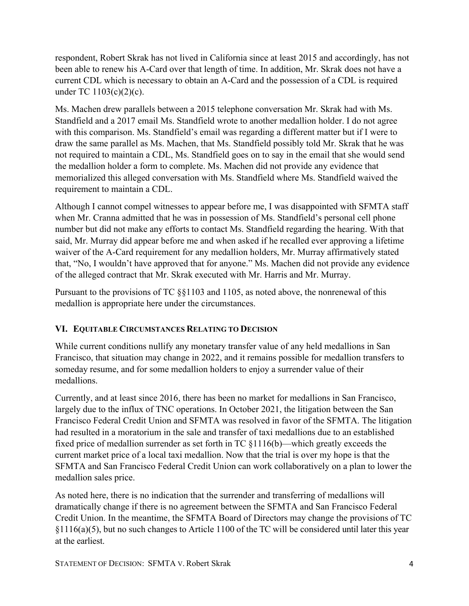respondent, Robert Skrak has not lived in California since at least 2015 and accordingly, has not been able to renew his A-Card over that length of time. In addition, Mr. Skrak does not have a current CDL which is necessary to obtain an A-Card and the possession of a CDL is required under TC 1103(c)(2)(c).

Ms. Machen drew parallels between a 2015 telephone conversation Mr. Skrak had with Ms. Standfield and a 2017 email Ms. Standfield wrote to another medallion holder. I do not agree with this comparison. Ms. Standfield's email was regarding a different matter but if I were to draw the same parallel as Ms. Machen, that Ms. Standfield possibly told Mr. Skrak that he was not required to maintain a CDL, Ms. Standfield goes on to say in the email that she would send the medallion holder a form to complete. Ms. Machen did not provide any evidence that memorialized this alleged conversation with Ms. Standfield where Ms. Standfield waived the requirement to maintain a CDL.

Although I cannot compel witnesses to appear before me, I was disappointed with SFMTA staff when Mr. Cranna admitted that he was in possession of Ms. Standfield's personal cell phone number but did not make any efforts to contact Ms. Standfield regarding the hearing. With that said, Mr. Murray did appear before me and when asked if he recalled ever approving a lifetime waiver of the A-Card requirement for any medallion holders, Mr. Murray affirmatively stated that, "No, I wouldn't have approved that for anyone." Ms. Machen did not provide any evidence of the alleged contract that Mr. Skrak executed with Mr. Harris and Mr. Murray.

Pursuant to the provisions of TC §§1103 and 1105, as noted above, the nonrenewal of this medallion is appropriate here under the circumstances.

# **VI. EQUITABLE CIRCUMSTANCES RELATING TO DECISION**

While current conditions nullify any monetary transfer value of any held medallions in San Francisco, that situation may change in 2022, and it remains possible for medallion transfers to someday resume, and for some medallion holders to enjoy a surrender value of their medallions.

Currently, and at least since 2016, there has been no market for medallions in San Francisco, largely due to the influx of TNC operations. In October 2021, the litigation between the San Francisco Federal Credit Union and SFMTA was resolved in favor of the SFMTA. The litigation had resulted in a moratorium in the sale and transfer of taxi medallions due to an established fixed price of medallion surrender as set forth in TC §1116(b)—which greatly exceeds the current market price of a local taxi medallion. Now that the trial is over my hope is that the SFMTA and San Francisco Federal Credit Union can work collaboratively on a plan to lower the medallion sales price.

As noted here, there is no indication that the surrender and transferring of medallions will dramatically change if there is no agreement between the SFMTA and San Francisco Federal Credit Union. In the meantime, the SFMTA Board of Directors may change the provisions of TC §1116(a)(5), but no such changes to Article 1100 of the TC will be considered until later this year at the earliest.